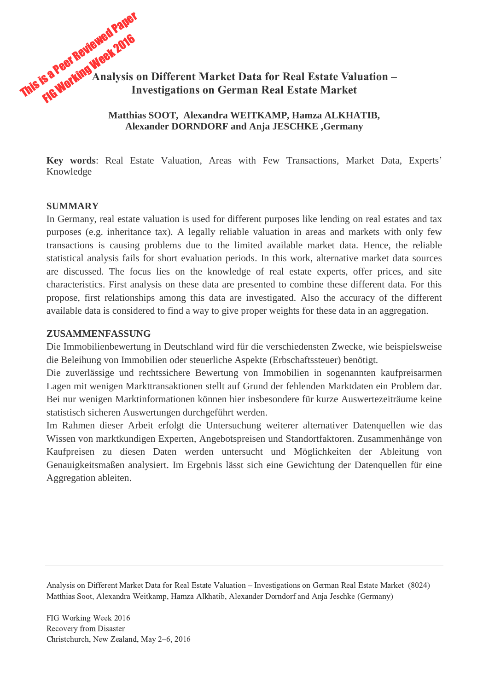# This is a Peer Reviewed Paper Fa Peer Revieweek 2016 **Analysis on Different Market Data for Real Estate Valuation – Investigations on German Real Estate Market**

#### **Matthias SOOT, Alexandra WEITKAMP, Hamza ALKHATIB, Alexander DORNDORF and Anja JESCHKE ,Germany**

**Key words**: Real Estate Valuation, Areas with Few Transactions, Market Data, Experts' Knowledge

#### **SUMMARY**

In Germany, real estate valuation is used for different purposes like lending on real estates and tax purposes (e.g. inheritance tax). A legally reliable valuation in areas and markets with only few transactions is causing problems due to the limited available market data. Hence, the reliable statistical analysis fails for short evaluation periods. In this work, alternative market data sources are discussed. The focus lies on the knowledge of real estate experts, offer prices, and site characteristics. First analysis on these data are presented to combine these different data. For this propose, first relationships among this data are investigated. Also the accuracy of the different available data is considered to find a way to give proper weights for these data in an aggregation.

#### **ZUSAMMENFASSUNG**

Die Immobilienbewertung in Deutschland wird für die verschiedensten Zwecke, wie beispielsweise die Beleihung von Immobilien oder steuerliche Aspekte (Erbschaftssteuer) benötigt.

Die zuverlässige und rechtssichere Bewertung von Immobilien in sogenannten kaufpreisarmen Lagen mit wenigen Markttransaktionen stellt auf Grund der fehlenden Marktdaten ein Problem dar. Bei nur wenigen Marktinformationen können hier insbesondere für kurze Auswertezeiträume keine statistisch sicheren Auswertungen durchgeführt werden.

Im Rahmen dieser Arbeit erfolgt die Untersuchung weiterer alternativer Datenquellen wie das Wissen von marktkundigen Experten, Angebotspreisen und Standortfaktoren. Zusammenhänge von Kaufpreisen zu diesen Daten werden untersucht und Möglichkeiten der Ableitung von Genauigkeitsmaßen analysiert. Im Ergebnis lässt sich eine Gewichtung der Datenquellen für eine Aggregation ableiten.

Analysis on Different Market Data for Real Estate Valuation – Investigations on German Real Estate Market (8024) Matthias Soot, Alexandra Weitkamp, Hamza Alkhatib, Alexander Dorndorf and Anja Jeschke (Germany)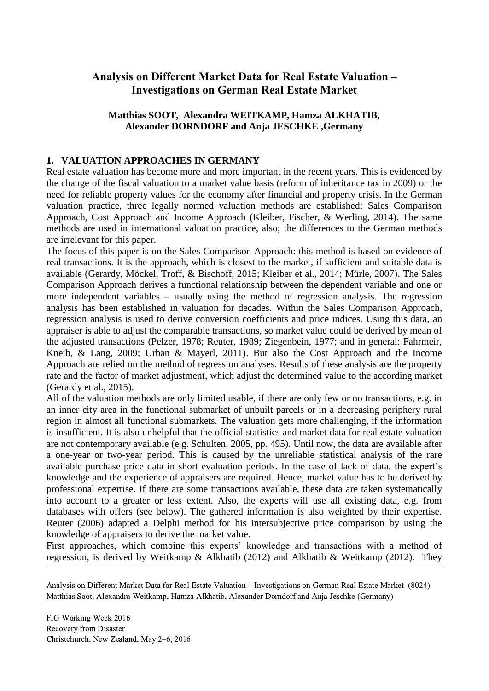## **Analysis on Different Market Data for Real Estate Valuation – Investigations on German Real Estate Market**

## **Matthias SOOT, Alexandra WEITKAMP, Hamza ALKHATIB, Alexander DORNDORF and Anja JESCHKE ,Germany**

## <span id="page-1-0"></span>**1. VALUATION APPROACHES IN GERMANY**

Real estate valuation has become more and more important in the recent years. This is evidenced by the change of the fiscal valuation to a market value basis (reform of inheritance tax in 2009) or the need for reliable property values for the economy after financial and property crisis. In the German valuation practice, three legally normed valuation methods are established: Sales Comparison Approach, Cost Approach and Income Approach (Kleiber, Fischer, & Werling, 2014). The same methods are used in international valuation practice, also; the differences to the German methods are irrelevant for this paper.

The focus of this paper is on the Sales Comparison Approach: this method is based on evidence of real transactions. It is the approach, which is closest to the market, if sufficient and suitable data is available (Gerardy, Möckel, Troff, & Bischoff, 2015; Kleiber et al., 2014; Mürle, 2007). The Sales Comparison Approach derives a functional relationship between the dependent variable and one or more independent variables – usually using the method of regression analysis. The regression analysis has been established in valuation for decades. Within the Sales Comparison Approach, regression analysis is used to derive conversion coefficients and price indices. Using this data, an appraiser is able to adjust the comparable transactions, so market value could be derived by mean of the adjusted transactions (Pelzer, 1978; Reuter, 1989; Ziegenbein, 1977; and in general: Fahrmeir, Kneib, & Lang, 2009; Urban & Mayerl, 2011). But also the Cost Approach and the Income Approach are relied on the method of regression analyses. Results of these analysis are the property rate and the factor of market adjustment, which adjust the determined value to the according market (Gerardy et al., 2015).

All of the valuation methods are only limited usable, if there are only few or no transactions, e.g. in an inner city area in the functional submarket of unbuilt parcels or in a decreasing periphery rural region in almost all functional submarkets. The valuation gets more challenging, if the information is insufficient. It is also unhelpful that the official statistics and market data for real estate valuation are not contemporary available (e.g. Schulten, 2005, pp. 495). Until now, the data are available after a one-year or two-year period. This is caused by the unreliable statistical analysis of the rare available purchase price data in short evaluation periods. In the case of lack of data, the expert's knowledge and the experience of appraisers are required. Hence, market value has to be derived by professional expertise. If there are some transactions available, these data are taken systematically into account to a greater or less extent. Also, the experts will use all existing data, e.g. from databases with offers (see below). The gathered information is also weighted by their expertise. Reuter (2006) adapted a Delphi method for his intersubjective price comparison by using the knowledge of appraisers to derive the market value.

First approaches, which combine this experts' knowledge and transactions with a method of regression, is derived by Weitkamp & Alkhatib (2012) and Alkhatib & Weitkamp (2012). They

Analysis on Different Market Data for Real Estate Valuation – Investigations on German Real Estate Market (8024) Matthias Soot, Alexandra Weitkamp, Hamza Alkhatib, Alexander Dorndorf and Anja Jeschke (Germany)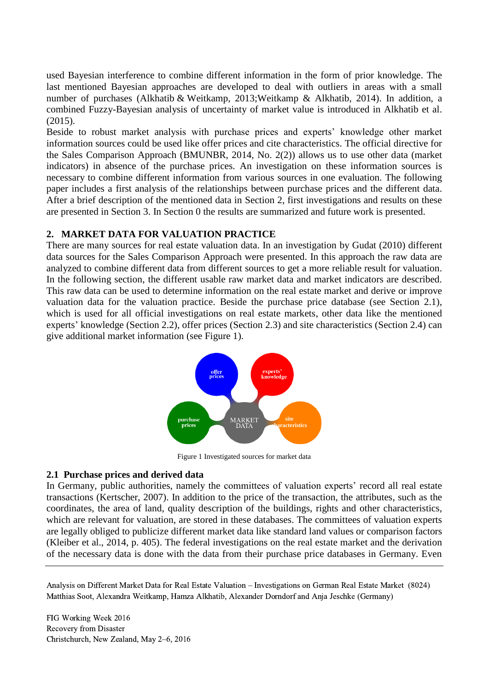used Bayesian interference to combine different information in the form of prior knowledge. The last mentioned Bayesian approaches are developed to deal with outliers in areas with a small number of purchases (Alkhatib & Weitkamp, 2013;Weitkamp & Alkhatib, 2014). In addition, a combined Fuzzy-Bayesian analysis of uncertainty of market value is introduced in Alkhatib et al. (2015).

Beside to robust market analysis with purchase prices and experts' knowledge other market information sources could be used like offer prices and cite characteristics. The official directive for the Sales Comparison Approach (BMUNBR, 2014, No. 2(2)) allows us to use other data (market indicators) in absence of the purchase prices. An investigation on these information sources is necessary to combine different information from various sources in one evaluation. The following paper includes a first analysis of the relationships between purchase prices and the different data. After a brief description of the mentioned data in Section [2,](#page-2-0) first investigations and results on these are presented in Section [3.](#page-4-0) In Section [0](#page-8-0) the results are summarized and future work is presented.

#### <span id="page-2-0"></span>**2. MARKET DATA FOR VALUATION PRACTICE**

There are many sources for real estate valuation data. In an investigation by Gudat (2010) different data sources for the Sales Comparison Approach were presented. In this approach the raw data are analyzed to combine different data from different sources to get a more reliable result for valuation. In the following section, the different usable raw market data and market indicators are described. This raw data can be used to determine information on the real estate market and derive or improve valuation data for the valuation practice. Beside the purchase price database (see Section [2.1\)](#page-2-1), which is used for all official investigations on real estate markets, other data like the mentioned experts' knowledge (Section [2.2\)](#page-3-0), offer prices (Section [2.3\)](#page-3-1) and site characteristics (Section [2.4\)](#page-4-1) can give additional market information (see [Figure 1\)](#page-2-2).



Figure 1 Investigated sources for market data

#### <span id="page-2-2"></span><span id="page-2-1"></span>**2.1 Purchase prices and derived data**

In Germany, public authorities, namely the committees of valuation experts' record all real estate transactions (Kertscher, 2007). In addition to the price of the transaction, the attributes, such as the coordinates, the area of land, quality description of the buildings, rights and other characteristics, which are relevant for valuation, are stored in these databases. The committees of valuation experts are legally obliged to publicize different market data like standard land values or comparison factors (Kleiber et al., 2014, p. 405). The federal investigations on the real estate market and the derivation of the necessary data is done with the data from their purchase price databases in Germany. Even

Analysis on Different Market Data for Real Estate Valuation – Investigations on German Real Estate Market (8024) Matthias Soot, Alexandra Weitkamp, Hamza Alkhatib, Alexander Dorndorf and Anja Jeschke (Germany)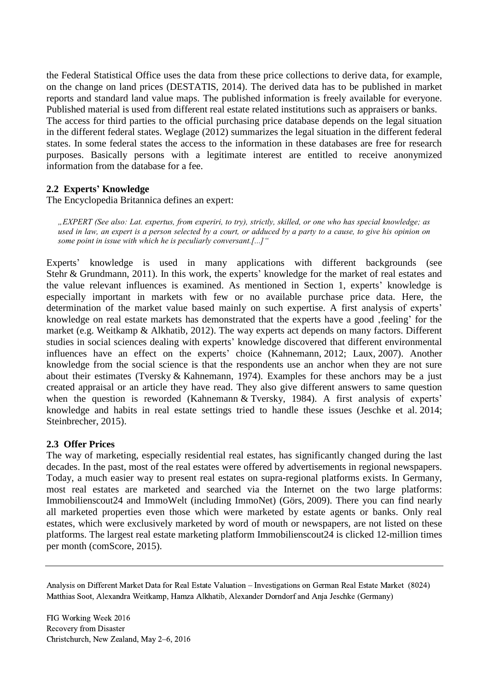the Federal Statistical Office uses the data from these price collections to derive data, for example, on the change on land prices (DESTATIS, 2014). The derived data has to be published in market reports and standard land value maps. The published information is freely available for everyone. Published material is used from different real estate related institutions such as appraisers or banks. The access for third parties to the official purchasing price database depends on the legal situation in the different federal states. Weglage (2012) summarizes the legal situation in the different federal states. In some federal states the access to the information in these databases are free for research purposes. Basically persons with a legitimate interest are entitled to receive anonymized information from the database for a fee.

### <span id="page-3-0"></span>**2.2 Experts' Knowledge**

The Encyclopedia Britannica defines an expert:

*"EXPERT (See also: Lat. expertus, from experiri, to try), strictly, skilled, or one who has special knowledge; as used in law, an expert is a person selected by a court, or adduced by a party to a cause, to give his opinion on some point in issue with which he is peculiarly conversant.[...]"*

Experts' knowledge is used in many applications with different backgrounds (see Stehr & Grundmann, 2011). In this work, the experts' knowledge for the market of real estates and the value relevant influences is examined. As mentioned in Section [1,](#page-1-0) experts' knowledge is especially important in markets with few or no available purchase price data. Here, the determination of the market value based mainly on such expertise. A first analysis of experts' knowledge on real estate markets has demonstrated that the experts have a good feeling' for the market (e.g. Weitkamp & Alkhatib, 2012). The way experts act depends on many factors. Different studies in social sciences dealing with experts' knowledge discovered that different environmental influences have an effect on the experts' choice (Kahnemann, 2012; Laux, 2007). Another knowledge from the social science is that the respondents use an anchor when they are not sure about their estimates (Tversky & Kahnemann, 1974). Examples for these anchors may be a just created appraisal or an article they have read. They also give different answers to same question when the question is reworded (Kahnemann & Tversky, 1984). A first analysis of experts' knowledge and habits in real estate settings tried to handle these issues (Jeschke et al. 2014; Steinbrecher, 2015).

#### <span id="page-3-1"></span>**2.3 Offer Prices**

The way of marketing, especially residential real estates, has significantly changed during the last decades. In the past, most of the real estates were offered by advertisements in regional newspapers. Today, a much easier way to present real estates on supra-regional platforms exists. In Germany, most real estates are marketed and searched via the Internet on the two large platforms: Immobilienscout24 and ImmoWelt (including ImmoNet) (Görs, 2009). There you can find nearly all marketed properties even those which were marketed by estate agents or banks. Only real estates, which were exclusively marketed by word of mouth or newspapers, are not listed on these platforms. The largest real estate marketing platform Immobilienscout24 is clicked 12-million times per month (comScore, 2015).

Analysis on Different Market Data for Real Estate Valuation – Investigations on German Real Estate Market (8024) Matthias Soot, Alexandra Weitkamp, Hamza Alkhatib, Alexander Dorndorf and Anja Jeschke (Germany)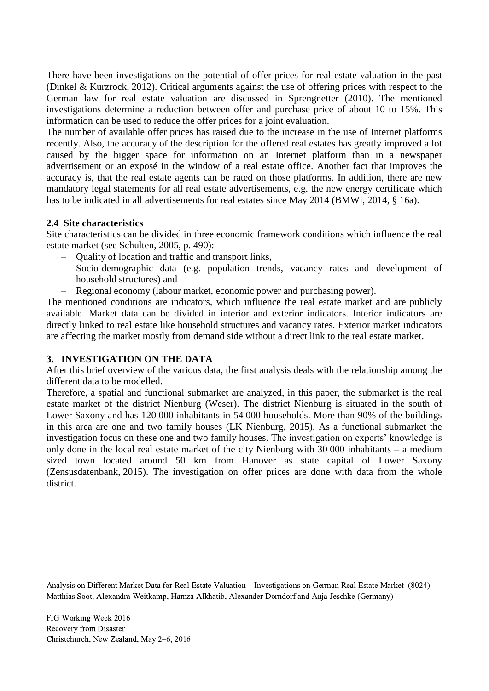There have been investigations on the potential of offer prices for real estate valuation in the past (Dinkel & Kurzrock, 2012). Critical arguments against the use of offering prices with respect to the German law for real estate valuation are discussed in Sprengnetter (2010). The mentioned investigations determine a reduction between offer and purchase price of about 10 to 15%. This information can be used to reduce the offer prices for a joint evaluation.

The number of available offer prices has raised due to the increase in the use of Internet platforms recently. Also, the accuracy of the description for the offered real estates has greatly improved a lot caused by the bigger space for information on an Internet platform than in a newspaper advertisement or an exposé in the window of a real estate office. Another fact that improves the accuracy is, that the real estate agents can be rated on those platforms. In addition, there are new mandatory legal statements for all real estate advertisements, e.g. the new energy certificate which has to be indicated in all advertisements for real estates since May 2014 (BMWi, 2014, § 16a).

## <span id="page-4-1"></span>**2.4 Site characteristics**

Site characteristics can be divided in three economic framework conditions which influence the real estate market (see Schulten, 2005, p. 490):

- Quality of location and traffic and transport links,
- Socio-demographic data (e.g. population trends, vacancy rates and development of household structures) and
- Regional economy (labour market, economic power and purchasing power).

The mentioned conditions are indicators, which influence the real estate market and are publicly available. Market data can be divided in interior and exterior indicators. Interior indicators are directly linked to real estate like household structures and vacancy rates. Exterior market indicators are affecting the market mostly from demand side without a direct link to the real estate market.

## <span id="page-4-0"></span>**3. INVESTIGATION ON THE DATA**

After this brief overview of the various data, the first analysis deals with the relationship among the different data to be modelled.

Therefore, a spatial and functional submarket are analyzed, in this paper, the submarket is the real estate market of the district Nienburg (Weser). The district Nienburg is situated in the south of Lower Saxony and has 120 000 inhabitants in 54 000 households. More than 90% of the buildings in this area are one and two family houses (LK Nienburg, 2015). As a functional submarket the investigation focus on these one and two family houses. The investigation on experts' knowledge is only done in the local real estate market of the city Nienburg with 30 000 inhabitants – a medium sized town located around 50 km from Hanover as state capital of Lower Saxony (Zensusdatenbank, 2015). The investigation on offer prices are done with data from the whole district.

<span id="page-4-2"></span>Analysis on Different Market Data for Real Estate Valuation – Investigations on German Real Estate Market (8024) Matthias Soot, Alexandra Weitkamp, Hamza Alkhatib, Alexander Dorndorf and Anja Jeschke (Germany)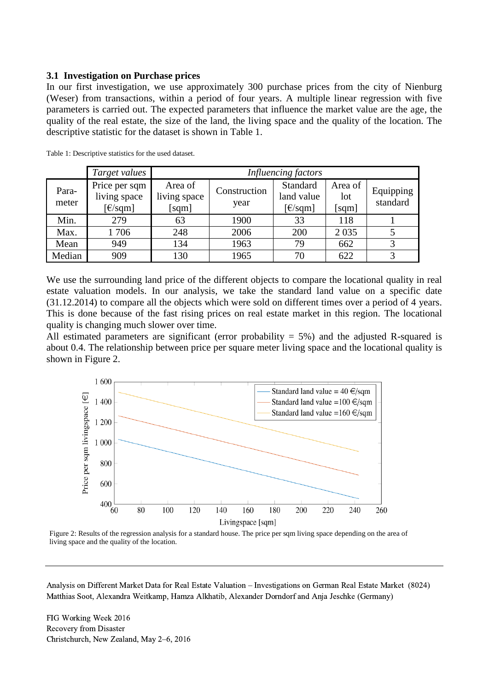#### **3.1 Investigation on Purchase prices**

In our first investigation, we use approximately 300 purchase prices from the city of Nienburg (Weser) from transactions, within a period of four years. A multiple linear regression with five parameters is carried out. The expected parameters that influence the market value are the age, the quality of the real estate, the size of the land, the living space and the quality of the location. The descriptive statistic for the dataset is shown in [Table 1.](#page-5-0)

|                | Target values                                                                | Influencing factors              |                      |                                                                                                 |                         |                       |
|----------------|------------------------------------------------------------------------------|----------------------------------|----------------------|-------------------------------------------------------------------------------------------------|-------------------------|-----------------------|
| Para-<br>meter | Price per sqm<br>living space<br>$\lceil \frac{\epsilon}{\text{sqm}} \rceil$ | Area of<br>living space<br>[sqm] | Construction<br>year | Standard<br>land value<br>$\lbrack \text{\large $\epsilon$}/\text{\large $\text{sqm} \rbrack$}$ | Area of<br>lot<br>[sqm] | Equipping<br>standard |
| Min.           | 279                                                                          | 63                               | 1900                 | 33                                                                                              | 118                     |                       |
| Max.           | 1706                                                                         | 248                              | 2006                 | 200                                                                                             | 2 0 3 5                 |                       |
| Mean           | 949                                                                          | 134                              | 1963                 | 79                                                                                              | 662                     |                       |
| Median         | 909                                                                          | 130                              | 1965                 | 70                                                                                              | 622                     |                       |

<span id="page-5-0"></span>Table 1: Descriptive statistics for the used dataset.

We use the surrounding land price of the different objects to compare the locational quality in real estate valuation models. In our analysis, we take the standard land value on a specific date (31.12.2014) to compare all the objects which were sold on different times over a period of 4 years. This is done because of the fast rising prices on real estate market in this region. The locational quality is changing much slower over time.

All estimated parameters are significant (error probability  $= 5\%$ ) and the adjusted R-squared is about 0.4. The relationship between price per square meter living space and the locational quality is shown in [Figure 2.](#page-5-1)



<span id="page-5-1"></span>Figure 2: Results of the regression analysis for a standard house. The price per sqm living space depending on the area of living space and the quality of the location.

Analysis on Different Market Data for Real Estate Valuation – Investigations on German Real Estate Market (8024) Matthias Soot, Alexandra Weitkamp, Hamza Alkhatib, Alexander Dorndorf and Anja Jeschke (Germany)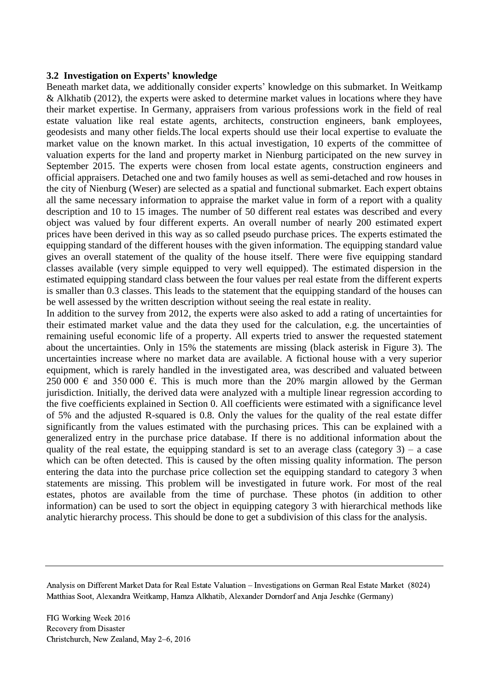#### **3.2 Investigation on Experts' knowledge**

Beneath market data, we additionally consider experts' knowledge on this submarket. In Weitkamp & Alkhatib (2012), the experts were asked to determine market values in locations where they have their market expertise. In Germany, appraisers from various professions work in the field of real estate valuation like real estate agents, architects, construction engineers, bank employees, geodesists and many other fields.The local experts should use their local expertise to evaluate the market value on the known market. In this actual investigation, 10 experts of the committee of valuation experts for the land and property market in Nienburg participated on the new survey in September 2015. The experts were chosen from local estate agents, construction engineers and official appraisers. Detached one and two family houses as well as semi-detached and row houses in the city of Nienburg (Weser) are selected as a spatial and functional submarket. Each expert obtains all the same necessary information to appraise the market value in form of a report with a quality description and 10 to 15 images. The number of 50 different real estates was described and every object was valued by four different experts. An overall number of nearly 200 estimated expert prices have been derived in this way as so called pseudo purchase prices. The experts estimated the equipping standard of the different houses with the given information. The equipping standard value gives an overall statement of the quality of the house itself. There were five equipping standard classes available (very simple equipped to very well equipped). The estimated dispersion in the estimated equipping standard class between the four values per real estate from the different experts is smaller than 0.3 classes. This leads to the statement that the equipping standard of the houses can be well assessed by the written description without seeing the real estate in reality.

In addition to the survey from 2012, the experts were also asked to add a rating of uncertainties for their estimated market value and the data they used for the calculation, e.g. the uncertainties of remaining useful economic life of a property. All experts tried to answer the requested statement about the uncertainties. Only in 15% the statements are missing (black asterisk in [Figure 3\)](#page-7-0). The uncertainties increase where no market data are available. A fictional house with a very superior equipment, which is rarely handled in the investigated area, was described and valuated between 250 000  $\epsilon$  and 350 000  $\epsilon$ . This is much more than the 20% margin allowed by the German jurisdiction. Initially, the derived data were analyzed with a multiple linear regression according to the five coefficients explained in Section [0.](#page-4-2) All coefficients were estimated with a significance level of 5% and the adjusted R-squared is 0.8. Only the values for the quality of the real estate differ significantly from the values estimated with the purchasing prices. This can be explained with a generalized entry in the purchase price database. If there is no additional information about the quality of the real estate, the equipping standard is set to an average class (category  $3$ ) – a case which can be often detected. This is caused by the often missing quality information. The person entering the data into the purchase price collection set the equipping standard to category 3 when statements are missing. This problem will be investigated in future work. For most of the real estates, photos are available from the time of purchase. These photos (in addition to other information) can be used to sort the object in equipping category 3 with hierarchical methods like analytic hierarchy process. This should be done to get a subdivision of this class for the analysis.

Analysis on Different Market Data for Real Estate Valuation – Investigations on German Real Estate Market (8024) Matthias Soot, Alexandra Weitkamp, Hamza Alkhatib, Alexander Dorndorf and Anja Jeschke (Germany)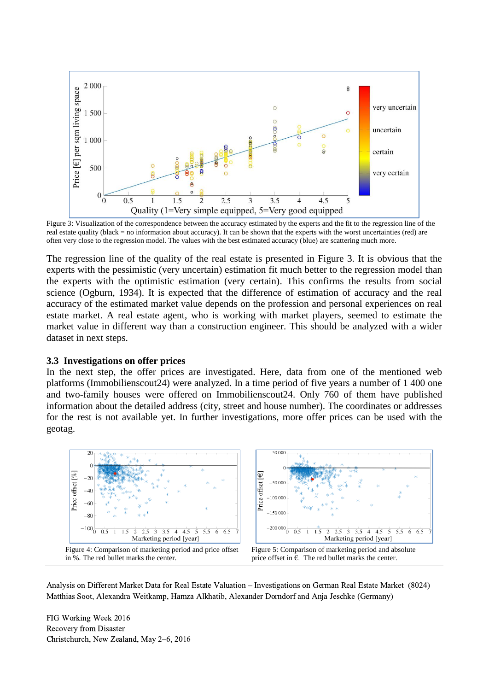

<span id="page-7-0"></span>Figure 3: Visualization of the correspondence between the accuracy estimated by the experts and the fit to the regression line of the real estate quality (black = no information about accuracy). It can be shown that the experts with the worst uncertainties (red) are often very close to the regression model. The values with the best estimated accuracy (blue) are scattering much more.

The regression line of the quality of the real estate is presented in [Figure 3.](#page-7-0) It is obvious that the experts with the pessimistic (very uncertain) estimation fit much better to the regression model than the experts with the optimistic estimation (very certain). This confirms the results from social science (Ogburn, 1934). It is expected that the difference of estimation of accuracy and the real accuracy of the estimated market value depends on the profession and personal experiences on real estate market. A real estate agent, who is working with market players, seemed to estimate the market value in different way than a construction engineer. This should be analyzed with a wider dataset in next steps.

#### **3.3 Investigations on offer prices**

In the next step, the offer prices are investigated. Here, data from one of the mentioned web platforms (Immobilienscout24) were analyzed. In a time period of five years a number of 1 400 one and two-family houses were offered on Immobilienscout24. Only 760 of them have published information about the detailed address (city, street and house number). The coordinates or addresses for the rest is not available yet. In further investigations, more offer prices can be used with the geotag.



<span id="page-7-2"></span><span id="page-7-1"></span>Analysis on Different Market Data for Real Estate Valuation – Investigations on German Real Estate Market (8024) Matthias Soot, Alexandra Weitkamp, Hamza Alkhatib, Alexander Dorndorf and Anja Jeschke (Germany)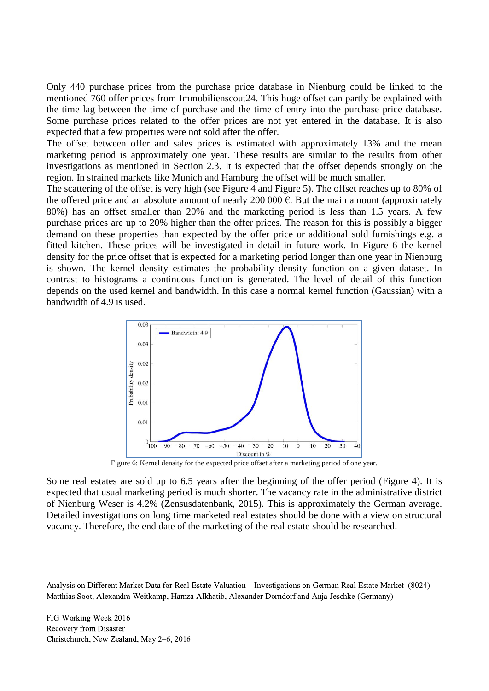Only 440 purchase prices from the purchase price database in Nienburg could be linked to the mentioned 760 offer prices from Immobilienscout24. This huge offset can partly be explained with the time lag between the time of purchase and the time of entry into the purchase price database. Some purchase prices related to the offer prices are not yet entered in the database. It is also expected that a few properties were not sold after the offer.

The offset between offer and sales prices is estimated with approximately 13% and the mean marketing period is approximately one year. These results are similar to the results from other investigations as mentioned in Section [2.3.](#page-3-1) It is expected that the offset depends strongly on the region. In strained markets like Munich and Hamburg the offset will be much smaller.

The scattering of the offset is very high (see [Figure 4](#page-7-1) and [Figure 5\)](#page-7-2). The offset reaches up to 80% of the offered price and an absolute amount of nearly 200 000  $\epsilon$ . But the main amount (approximately 80%) has an offset smaller than 20% and the marketing period is less than 1.5 years. A few purchase prices are up to 20% higher than the offer prices. The reason for this is possibly a bigger demand on these properties than expected by the offer price or additional sold furnishings e.g. a fitted kitchen. These prices will be investigated in detail in future work. In [Figure 6](#page-8-1) the kernel density for the price offset that is expected for a marketing period longer than one year in Nienburg is shown. The kernel density estimates the probability density function on a given dataset. In contrast to histograms a continuous function is generated. The level of detail of this function depends on the used kernel and bandwidth. In this case a normal kernel function (Gaussian) with a bandwidth of 4.9 is used.



Figure 6: Kernel density for the expected price offset after a marketing period of one year.

<span id="page-8-1"></span>Some real estates are sold up to 6.5 years after the beginning of the offer period [\(Figure 4\)](#page-7-1). It is expected that usual marketing period is much shorter. The vacancy rate in the administrative district of Nienburg Weser is 4.2% (Zensusdatenbank, 2015). This is approximately the German average. Detailed investigations on long time marketed real estates should be done with a view on structural vacancy. Therefore, the end date of the marketing of the real estate should be researched.

<span id="page-8-0"></span>Analysis on Different Market Data for Real Estate Valuation – Investigations on German Real Estate Market (8024) Matthias Soot, Alexandra Weitkamp, Hamza Alkhatib, Alexander Dorndorf and Anja Jeschke (Germany)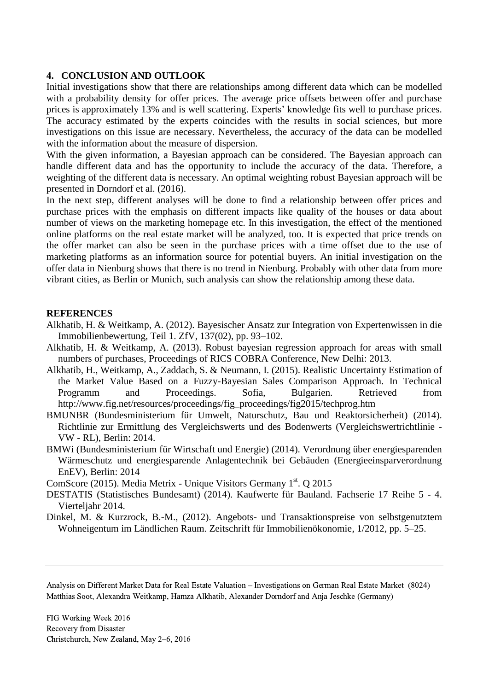#### **4. CONCLUSION AND OUTLOOK**

Initial investigations show that there are relationships among different data which can be modelled with a probability density for offer prices. The average price offsets between offer and purchase prices is approximately 13% and is well scattering. Experts' knowledge fits well to purchase prices. The accuracy estimated by the experts coincides with the results in social sciences, but more investigations on this issue are necessary. Nevertheless, the accuracy of the data can be modelled with the information about the measure of dispersion.

With the given information, a Bayesian approach can be considered. The Bayesian approach can handle different data and has the opportunity to include the accuracy of the data. Therefore, a weighting of the different data is necessary. An optimal weighting robust Bayesian approach will be presented in Dorndorf et al. (2016).

In the next step, different analyses will be done to find a relationship between offer prices and purchase prices with the emphasis on different impacts like quality of the houses or data about number of views on the marketing homepage etc. In this investigation, the effect of the mentioned online platforms on the real estate market will be analyzed, too. It is expected that price trends on the offer market can also be seen in the purchase prices with a time offset due to the use of marketing platforms as an information source for potential buyers. An initial investigation on the offer data in Nienburg shows that there is no trend in Nienburg. Probably with other data from more vibrant cities, as Berlin or Munich, such analysis can show the relationship among these data.

#### **REFERENCES**

- Alkhatib, H. & Weitkamp, A. (2012). Bayesischer Ansatz zur Integration von Expertenwissen in die Immobilienbewertung, Teil 1. ZfV, 137(02), pp. 93–102.
- Alkhatib, H. & Weitkamp, A. (2013). Robust bayesian regression approach for areas with small numbers of purchases, Proceedings of RICS COBRA Conference, New Delhi: 2013.
- Alkhatib, H., Weitkamp, A., Zaddach, S. & Neumann, I. (2015). Realistic Uncertainty Estimation of the Market Value Based on a Fuzzy-Bayesian Sales Comparison Approach. In Technical Programm and Proceedings. Sofia, Bulgarien. Retrieved from http://www.fig.net/resources/proceedings/fig\_proceedings/fig2015/techprog.htm
- BMUNBR (Bundesministerium für Umwelt, Naturschutz, Bau und Reaktorsicherheit) (2014). Richtlinie zur Ermittlung des Vergleichswerts und des Bodenwerts (Vergleichswertrichtlinie - VW - RL), Berlin: 2014.
- BMWi (Bundesministerium für Wirtschaft und Energie) (2014). Verordnung über energiesparenden Wärmeschutz und energiesparende Anlagentechnik bei Gebäuden (Energieeinsparverordnung EnEV), Berlin: 2014

ComScore (2015). Media Metrix - Unique Visitors Germany 1st. Q 2015

- DESTATIS (Statistisches Bundesamt) (2014). Kaufwerte für Bauland. Fachserie 17 Reihe 5 4. Vierteljahr 2014.
- Dinkel, M. & Kurzrock, B.-M., (2012). Angebots- und Transaktionspreise von selbstgenutztem Wohneigentum im Ländlichen Raum. Zeitschrift für Immobilienökonomie, 1/2012, pp. 5–25.

Analysis on Different Market Data for Real Estate Valuation – Investigations on German Real Estate Market (8024) Matthias Soot, Alexandra Weitkamp, Hamza Alkhatib, Alexander Dorndorf and Anja Jeschke (Germany)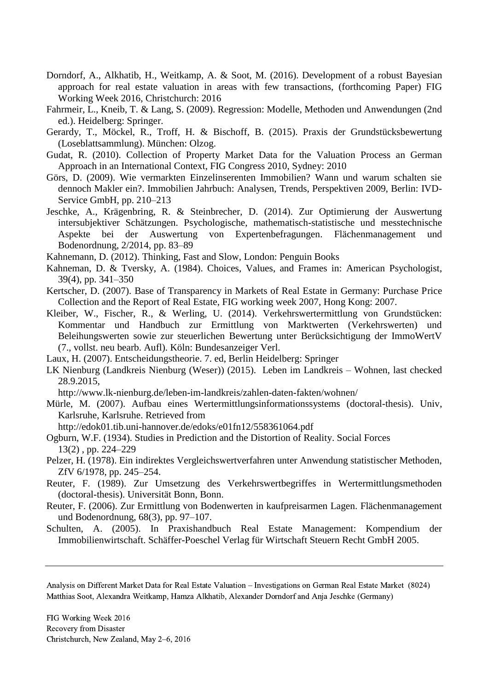- Dorndorf, A., Alkhatib, H., Weitkamp, A. & Soot, M. (2016). Development of a robust Bayesian approach for real estate valuation in areas with few transactions, (forthcoming Paper) FIG Working Week 2016, Christchurch: 2016
- Fahrmeir, L., Kneib, T. & Lang, S. (2009). Regression: Modelle, Methoden und Anwendungen (2nd ed.). Heidelberg: Springer.
- Gerardy, T., Möckel, R., Troff, H. & Bischoff, B. (2015). Praxis der Grundstücksbewertung (Loseblattsammlung). München: Olzog.
- Gudat, R. (2010). Collection of Property Market Data for the Valuation Process an German Approach in an International Context, FIG Congress 2010, Sydney: 2010
- Görs, D. (2009). Wie vermarkten Einzelinserenten Immobilien? Wann und warum schalten sie dennoch Makler ein?. Immobilien Jahrbuch: Analysen, Trends, Perspektiven 2009, Berlin: IVD-Service GmbH, pp. 210–213
- Jeschke, A., Krägenbring, R. & Steinbrecher, D. (2014). Zur Optimierung der Auswertung intersubjektiver Schätzungen. Psychologische, mathematisch-statistische und messtechnische Aspekte bei der Auswertung von Expertenbefragungen. Flächenmanagement und Bodenordnung, 2/2014, pp. 83–89
- Kahnemann, D. (2012). Thinking, Fast and Slow, London: Penguin Books
- Kahneman, D. & Tversky, A. (1984). Choices, Values, and Frames in: American Psychologist, 39(4), pp. 341–350
- Kertscher, D. (2007). Base of Transparency in Markets of Real Estate in Germany: Purchase Price Collection and the Report of Real Estate, FIG working week 2007, Hong Kong: 2007.
- Kleiber, W., Fischer, R., & Werling, U. (2014). Verkehrswertermittlung von Grundstücken: Kommentar und Handbuch zur Ermittlung von Marktwerten (Verkehrswerten) und Beleihungswerten sowie zur steuerlichen Bewertung unter Berücksichtigung der ImmoWertV (7., vollst. neu bearb. Aufl). Köln: Bundesanzeiger Verl.
- Laux, H. (2007). Entscheidungstheorie. 7. ed, Berlin Heidelberg: Springer
- LK Nienburg (Landkreis Nienburg (Weser)) (2015). Leben im Landkreis Wohnen, last checked 28.9.2015,

<http://www.lk-nienburg.de/leben-im-landkreis/zahlen-daten-fakten/wohnen/>

Mürle, M. (2007). Aufbau eines Wertermittlungsinformationssystems (doctoral-thesis). Univ, Karlsruhe, Karlsruhe. Retrieved from

http://edok01.tib.uni-hannover.de/edoks/e01fn12/558361064.pdf

- Ogburn, W.F. (1934). [Studies in Prediction and the Distortion of Reality.](https://www.jstor.org/stable/2570338) [Social Forces](http://www.jstor.org/action/showPublication?journalCode=socialforces) 13(2) , pp. 224–229
- Pelzer, H. (1978). Ein indirektes Vergleichswertverfahren unter Anwendung statistischer Methoden, ZfV 6/1978, pp. 245–254.
- Reuter, F. (1989). Zur Umsetzung des Verkehrswertbegriffes in Wertermittlungsmethoden (doctoral-thesis). Universität Bonn, Bonn.
- Reuter, F. (2006). Zur Ermittlung von Bodenwerten in kaufpreisarmen Lagen. Flächenmanagement und Bodenordnung, 68(3), pp. 97–107.
- Schulten, A. (2005). In Praxishandbuch Real Estate Management: Kompendium der Immobilienwirtschaft. Schäffer-Poeschel Verlag für Wirtschaft Steuern Recht GmbH 2005.

Analysis on Different Market Data for Real Estate Valuation – Investigations on German Real Estate Market (8024) Matthias Soot, Alexandra Weitkamp, Hamza Alkhatib, Alexander Dorndorf and Anja Jeschke (Germany)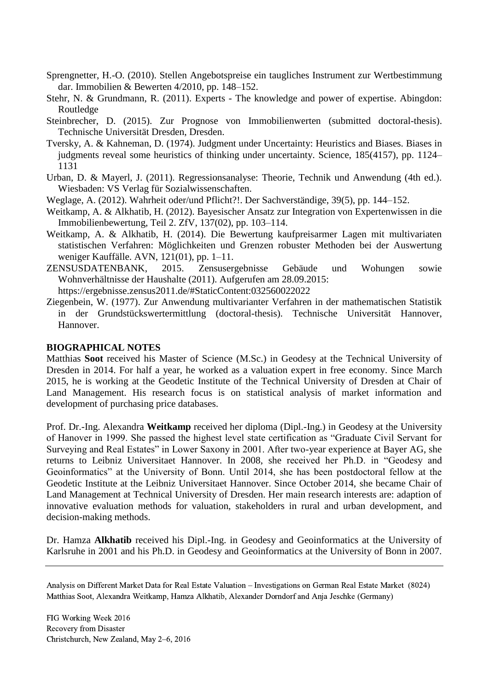- Sprengnetter, H.-O. (2010). Stellen Angebotspreise ein taugliches Instrument zur Wertbestimmung dar. Immobilien & Bewerten 4/2010, pp. 148–152.
- Stehr, N. & Grundmann, R. (2011). Experts The knowledge and power of expertise. Abingdon: Routledge
- Steinbrecher, D. (2015). Zur Prognose von Immobilienwerten (submitted doctoral-thesis). Technische Universität Dresden, Dresden.
- Tversky, A. & Kahneman, D. (1974). Judgment under Uncertainty: Heuristics and Biases. Biases in judgments reveal some heuristics of thinking under uncertainty. Science, 185(4157), pp. 1124– 1131
- Urban, D. & Mayerl, J. (2011). Regressionsanalyse: Theorie, Technik und Anwendung (4th ed.). Wiesbaden: VS Verlag für Sozialwissenschaften.
- Weglage, A. (2012). Wahrheit oder/und Pflicht?!. Der Sachverständige, 39(5), pp. 144–152.
- Weitkamp, A. & Alkhatib, H. (2012). Bayesischer Ansatz zur Integration von Expertenwissen in die Immobilienbewertung, Teil 2. ZfV, 137(02), pp. 103–114.
- Weitkamp, A. & Alkhatib, H. (2014). Die Bewertung kaufpreisarmer Lagen mit multivariaten statistischen Verfahren: Möglichkeiten und Grenzen robuster Methoden bei der Auswertung weniger Kauffälle. AVN, 121(01), pp. 1–11.
- ZENSUSDATENBANK, 2015. Zensusergebnisse Gebäude und Wohungen sowie Wohnverhältnisse der Haushalte (2011). Aufgerufen am 28.09.2015:
- https://ergebnisse.zensus2011.de/#StaticContent:032560022022
- Ziegenbein, W. (1977). Zur Anwendung multivarianter Verfahren in der mathematischen Statistik in der Grundstückswertermittlung (doctoral-thesis). Technische Universität Hannover, Hannover.

#### **BIOGRAPHICAL NOTES**

Matthias **Soot** received his Master of Science (M.Sc.) in Geodesy at the Technical University of Dresden in 2014. For half a year, he worked as a valuation expert in free economy. Since March 2015, he is working at the Geodetic Institute of the Technical University of Dresden at Chair of Land Management. His research focus is on statistical analysis of market information and development of purchasing price databases.

Prof. Dr.-Ing. Alexandra **Weitkamp** received her diploma (Dipl.-Ing.) in Geodesy at the University of Hanover in 1999. She passed the highest level state certification as "Graduate Civil Servant for Surveying and Real Estates" in Lower Saxony in 2001. After two-year experience at Bayer AG, she returns to Leibniz Universitaet Hannover. In 2008, she received her Ph.D. in "Geodesy and Geoinformatics" at the University of Bonn. Until 2014, she has been postdoctoral fellow at the Geodetic Institute at the Leibniz Universitaet Hannover. Since October 2014, she became Chair of Land Management at Technical University of Dresden. Her main research interests are: adaption of innovative evaluation methods for valuation, stakeholders in rural and urban development, and decision-making methods.

Dr. Hamza **Alkhatib** received his Dipl.-Ing. in Geodesy and Geoinformatics at the University of Karlsruhe in 2001 and his Ph.D. in Geodesy and Geoinformatics at the University of Bonn in 2007.

Analysis on Different Market Data for Real Estate Valuation – Investigations on German Real Estate Market (8024) Matthias Soot, Alexandra Weitkamp, Hamza Alkhatib, Alexander Dorndorf and Anja Jeschke (Germany)